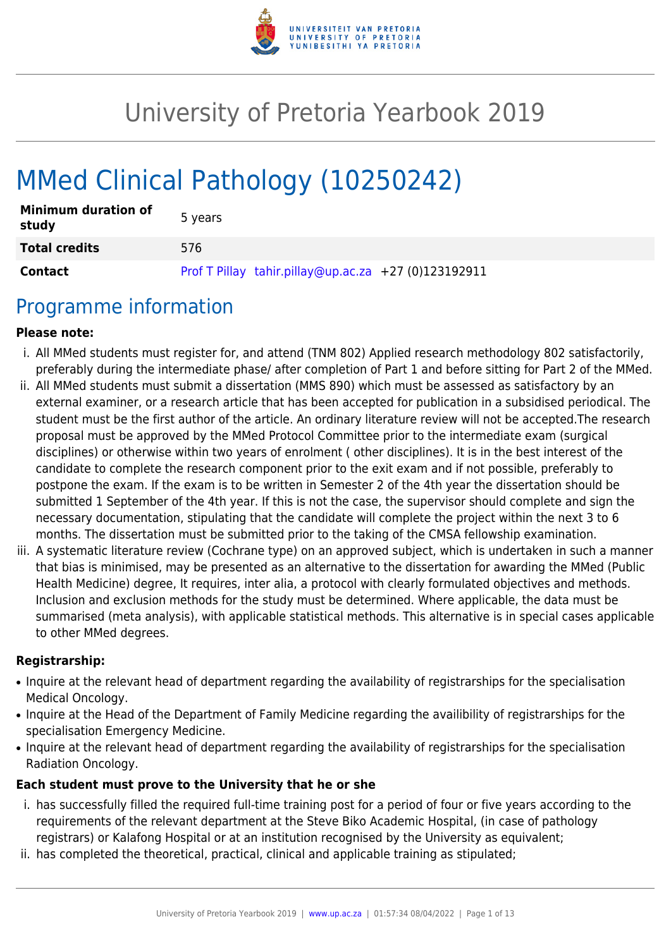

# University of Pretoria Yearbook 2019

# MMed Clinical Pathology (10250242)

| <b>Minimum duration of</b><br>study | 5 years                                              |
|-------------------------------------|------------------------------------------------------|
| <b>Total credits</b>                | 576                                                  |
| <b>Contact</b>                      | Prof T Pillay tahir.pillay@up.ac.za +27 (0)123192911 |

## Programme information

#### **Please note:**

- i. All MMed students must register for, and attend (TNM 802) Applied research methodology 802 satisfactorily, preferably during the intermediate phase/ after completion of Part 1 and before sitting for Part 2 of the MMed.
- ii. All MMed students must submit a dissertation (MMS 890) which must be assessed as satisfactory by an external examiner, or a research article that has been accepted for publication in a subsidised periodical. The student must be the first author of the article. An ordinary literature review will not be accepted.The research proposal must be approved by the MMed Protocol Committee prior to the intermediate exam (surgical disciplines) or otherwise within two years of enrolment ( other disciplines). It is in the best interest of the candidate to complete the research component prior to the exit exam and if not possible, preferably to postpone the exam. If the exam is to be written in Semester 2 of the 4th year the dissertation should be submitted 1 September of the 4th year. If this is not the case, the supervisor should complete and sign the necessary documentation, stipulating that the candidate will complete the project within the next 3 to 6 months. The dissertation must be submitted prior to the taking of the CMSA fellowship examination.
- iii. A systematic literature review (Cochrane type) on an approved subject, which is undertaken in such a manner that bias is minimised, may be presented as an alternative to the dissertation for awarding the MMed (Public Health Medicine) degree, It requires, inter alia, a protocol with clearly formulated objectives and methods. Inclusion and exclusion methods for the study must be determined. Where applicable, the data must be summarised (meta analysis), with applicable statistical methods. This alternative is in special cases applicable to other MMed degrees.

#### **Registrarship:**

- Inquire at the relevant head of department regarding the availability of registrarships for the specialisation Medical Oncology.
- Inquire at the Head of the Department of Family Medicine regarding the availibility of registrarships for the specialisation Emergency Medicine.
- Inquire at the relevant head of department regarding the availability of registrarships for the specialisation Radiation Oncology.

#### **Each student must prove to the University that he or she**

- i. has successfully filled the required full-time training post for a period of four or five years according to the requirements of the relevant department at the Steve Biko Academic Hospital, (in case of pathology registrars) or Kalafong Hospital or at an institution recognised by the University as equivalent;
- ii. has completed the theoretical, practical, clinical and applicable training as stipulated;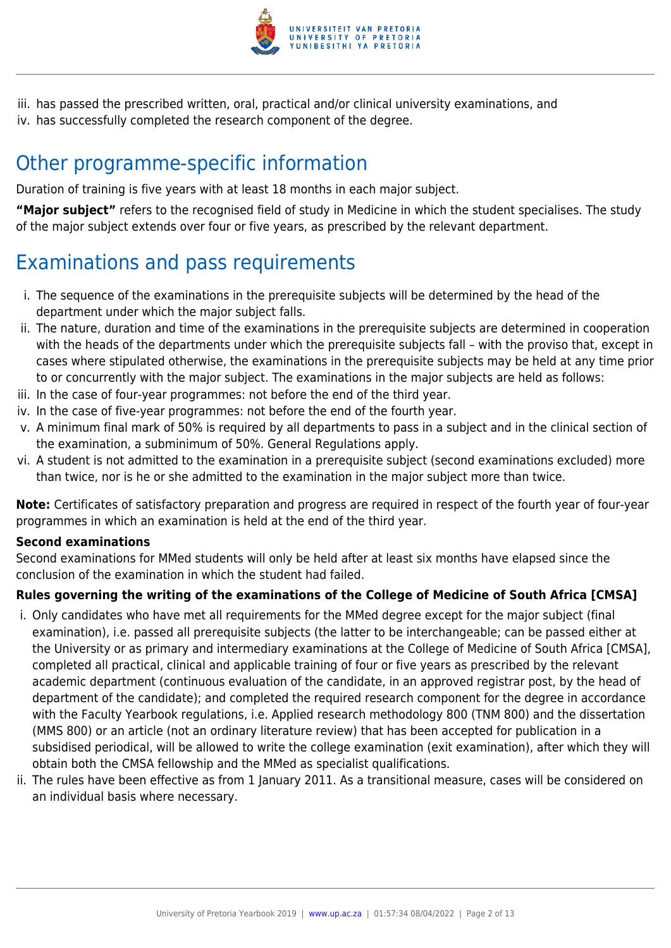

iii. has passed the prescribed written, oral, practical and/or clinical university examinations, and iv. has successfully completed the research component of the degree.

## Other programme-specific information

Duration of training is five years with at least 18 months in each major subject.

**"Major subject"** refers to the recognised field of study in Medicine in which the student specialises. The study of the major subject extends over four or five years, as prescribed by the relevant department.

## Examinations and pass requirements

- i. The sequence of the examinations in the prerequisite subjects will be determined by the head of the department under which the major subject falls.
- ii. The nature, duration and time of the examinations in the prerequisite subjects are determined in cooperation with the heads of the departments under which the prerequisite subjects fall – with the proviso that, except in cases where stipulated otherwise, the examinations in the prerequisite subjects may be held at any time prior to or concurrently with the major subject. The examinations in the major subjects are held as follows:
- iii. In the case of four-year programmes: not before the end of the third year.
- iv. In the case of five-year programmes: not before the end of the fourth year.
- v. A minimum final mark of 50% is required by all departments to pass in a subject and in the clinical section of the examination, a subminimum of 50%. General Regulations apply.
- vi. A student is not admitted to the examination in a prerequisite subject (second examinations excluded) more than twice, nor is he or she admitted to the examination in the major subject more than twice.

**Note:** Certificates of satisfactory preparation and progress are required in respect of the fourth year of four-year programmes in which an examination is held at the end of the third year.

#### **Second examinations**

Second examinations for MMed students will only be held after at least six months have elapsed since the conclusion of the examination in which the student had failed.

#### **Rules governing the writing of the examinations of the College of Medicine of South Africa [CMSA]**

- i. Only candidates who have met all requirements for the MMed degree except for the major subject (final examination), i.e. passed all prerequisite subjects (the latter to be interchangeable; can be passed either at the University or as primary and intermediary examinations at the College of Medicine of South Africa [CMSA], completed all practical, clinical and applicable training of four or five years as prescribed by the relevant academic department (continuous evaluation of the candidate, in an approved registrar post, by the head of department of the candidate); and completed the required research component for the degree in accordance with the Faculty Yearbook regulations, i.e. Applied research methodology 800 (TNM 800) and the dissertation (MMS 800) or an article (not an ordinary literature review) that has been accepted for publication in a subsidised periodical, will be allowed to write the college examination (exit examination), after which they will obtain both the CMSA fellowship and the MMed as specialist qualifications.
- ii. The rules have been effective as from 1 January 2011. As a transitional measure, cases will be considered on an individual basis where necessary.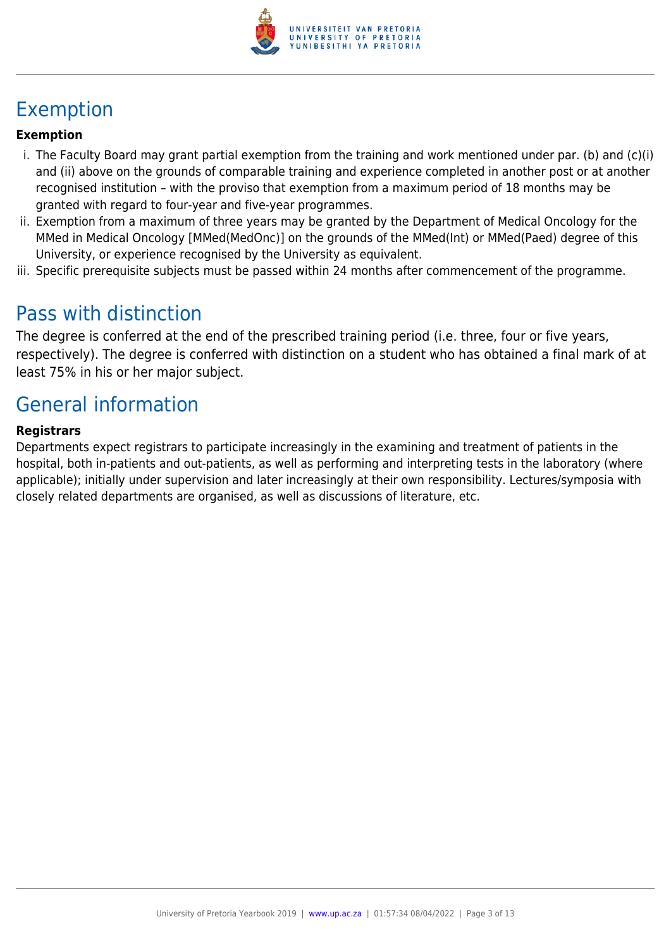

## Exemption

#### **Exemption**

- i. The Faculty Board may grant partial exemption from the training and work mentioned under par. (b) and (c)(i) and (ii) above on the grounds of comparable training and experience completed in another post or at another recognised institution – with the proviso that exemption from a maximum period of 18 months may be granted with regard to four-year and five-year programmes.
- ii. Exemption from a maximum of three years may be granted by the Department of Medical Oncology for the MMed in Medical Oncology [MMed(MedOnc)] on the grounds of the MMed(Int) or MMed(Paed) degree of this University, or experience recognised by the University as equivalent.
- iii. Specific prerequisite subjects must be passed within 24 months after commencement of the programme.

## Pass with distinction

The degree is conferred at the end of the prescribed training period (i.e. three, four or five years, respectively). The degree is conferred with distinction on a student who has obtained a final mark of at least 75% in his or her major subject.

## General information

#### **Registrars**

Departments expect registrars to participate increasingly in the examining and treatment of patients in the hospital, both in-patients and out-patients, as well as performing and interpreting tests in the laboratory (where applicable); initially under supervision and later increasingly at their own responsibility. Lectures/symposia with closely related departments are organised, as well as discussions of literature, etc.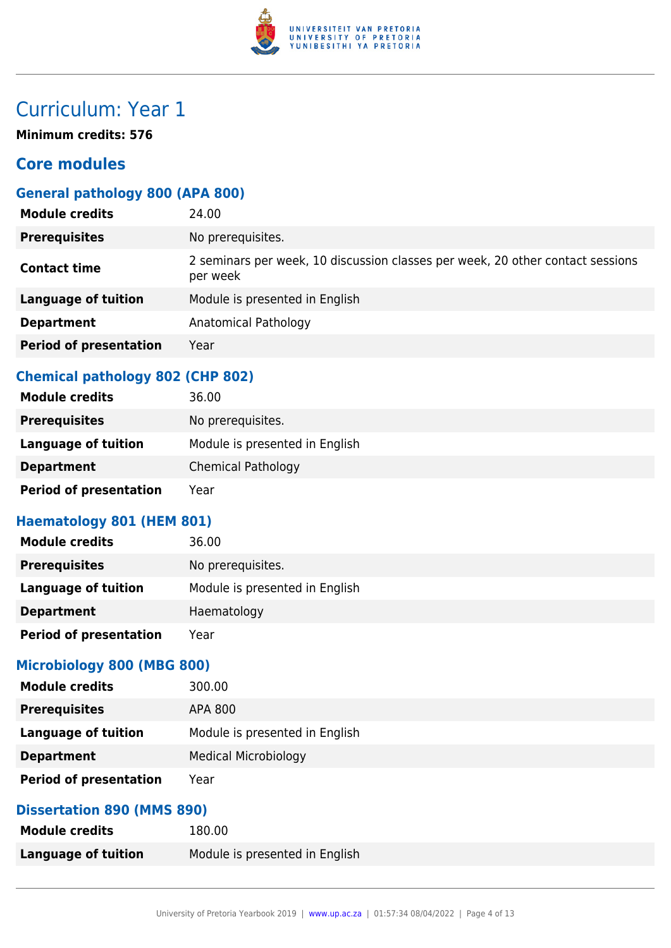

**Minimum credits: 576**

## **Core modules**

## **General pathology 800 (APA 800)**

| <b>Module credits</b>         | 24.00                                                                                      |
|-------------------------------|--------------------------------------------------------------------------------------------|
| <b>Prerequisites</b>          | No prerequisites.                                                                          |
| <b>Contact time</b>           | 2 seminars per week, 10 discussion classes per week, 20 other contact sessions<br>per week |
| <b>Language of tuition</b>    | Module is presented in English                                                             |
| <b>Department</b>             | Anatomical Pathology                                                                       |
| <b>Period of presentation</b> | Year                                                                                       |

## **Chemical pathology 802 (CHP 802)**

| 36.00                          |
|--------------------------------|
| No prerequisites.              |
| Module is presented in English |
| <b>Chemical Pathology</b>      |
| Year                           |
|                                |

## **Haematology 801 (HEM 801)**

| <b>Module credits</b>         | 36.00                          |
|-------------------------------|--------------------------------|
| <b>Prerequisites</b>          | No prerequisites.              |
| <b>Language of tuition</b>    | Module is presented in English |
| <b>Department</b>             | Haematology                    |
| <b>Period of presentation</b> | Year                           |

### **Microbiology 800 (MBG 800)**

| <b>Module credits</b>         | 300.00                         |
|-------------------------------|--------------------------------|
| <b>Prerequisites</b>          | APA 800                        |
| Language of tuition           | Module is presented in English |
| <b>Department</b>             | <b>Medical Microbiology</b>    |
| <b>Period of presentation</b> | Year                           |

## **Dissertation 890 (MMS 890)**

| <b>Module credits</b> | 180.00                         |
|-----------------------|--------------------------------|
| Language of tuition   | Module is presented in English |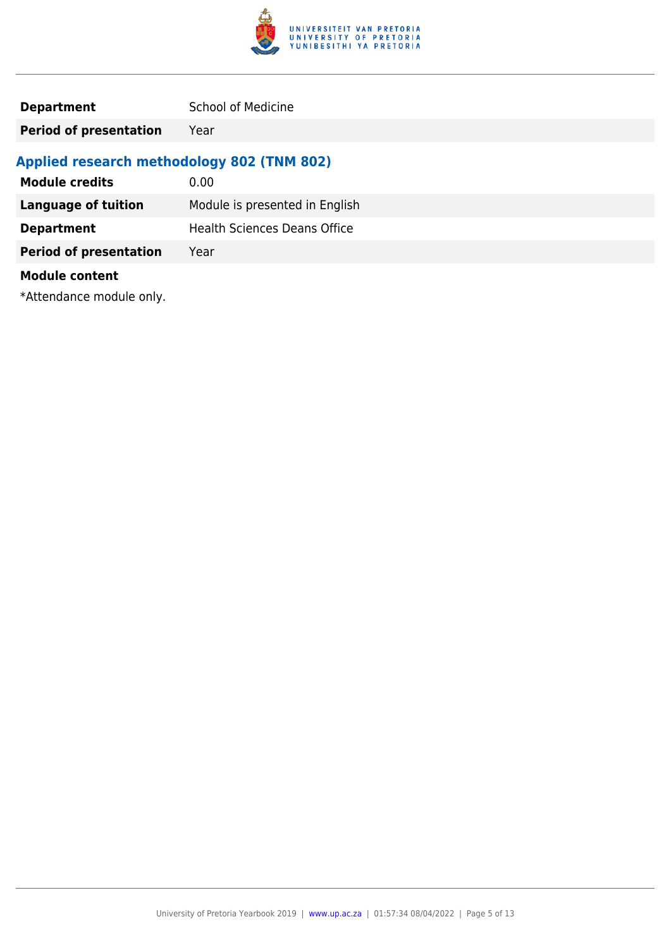

**Period of presentation** Year

## **Applied research methodology 802 (TNM 802)**

| <b>Module credits</b>         | 0.00                                |
|-------------------------------|-------------------------------------|
| <b>Language of tuition</b>    | Module is presented in English      |
| <b>Department</b>             | <b>Health Sciences Deans Office</b> |
| <b>Period of presentation</b> | Year                                |
| <b>Module content</b>         |                                     |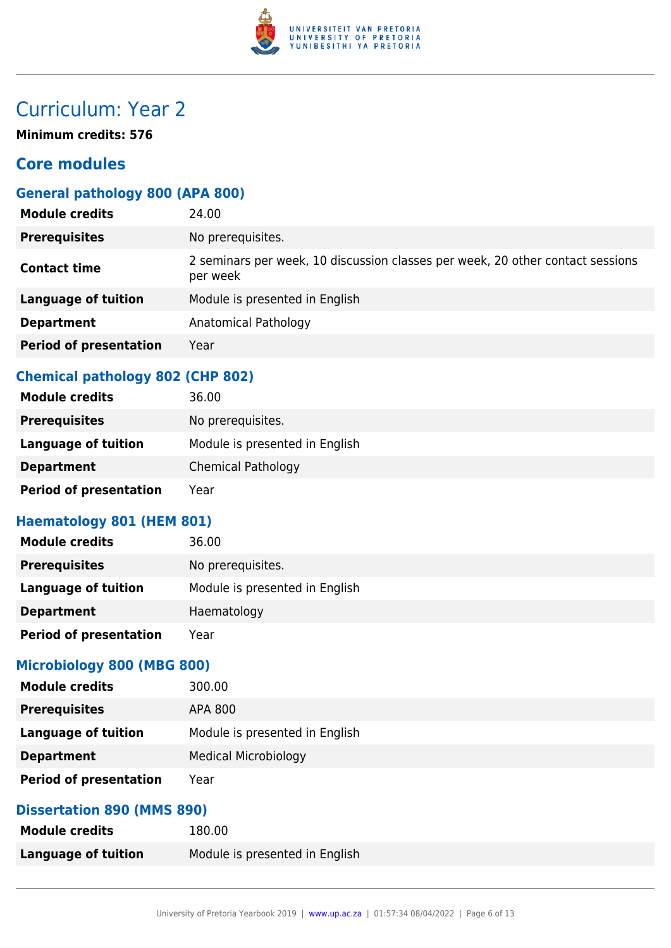

**Minimum credits: 576**

## **Core modules**

## **General pathology 800 (APA 800)**

| <b>Module credits</b>         | 24.00                                                                                      |
|-------------------------------|--------------------------------------------------------------------------------------------|
| <b>Prerequisites</b>          | No prerequisites.                                                                          |
| <b>Contact time</b>           | 2 seminars per week, 10 discussion classes per week, 20 other contact sessions<br>per week |
| <b>Language of tuition</b>    | Module is presented in English                                                             |
| <b>Department</b>             | Anatomical Pathology                                                                       |
| <b>Period of presentation</b> | Year                                                                                       |

### **Chemical pathology 802 (CHP 802)**

| 36.00                          |
|--------------------------------|
| No prerequisites.              |
| Module is presented in English |
| <b>Chemical Pathology</b>      |
| Year                           |
|                                |

## **Haematology 801 (HEM 801)**

| <b>Module credits</b>         | 36.00                          |
|-------------------------------|--------------------------------|
| <b>Prerequisites</b>          | No prerequisites.              |
| Language of tuition           | Module is presented in English |
| <b>Department</b>             | Haematology                    |
| <b>Period of presentation</b> | Year                           |

### **Microbiology 800 (MBG 800)**

| <b>Module credits</b>         | 300.00                         |
|-------------------------------|--------------------------------|
| <b>Prerequisites</b>          | APA 800                        |
| Language of tuition           | Module is presented in English |
| <b>Department</b>             | <b>Medical Microbiology</b>    |
| <b>Period of presentation</b> | Year                           |

## **Dissertation 890 (MMS 890)**

| <b>Module credits</b> | 180.00                         |
|-----------------------|--------------------------------|
| Language of tuition   | Module is presented in English |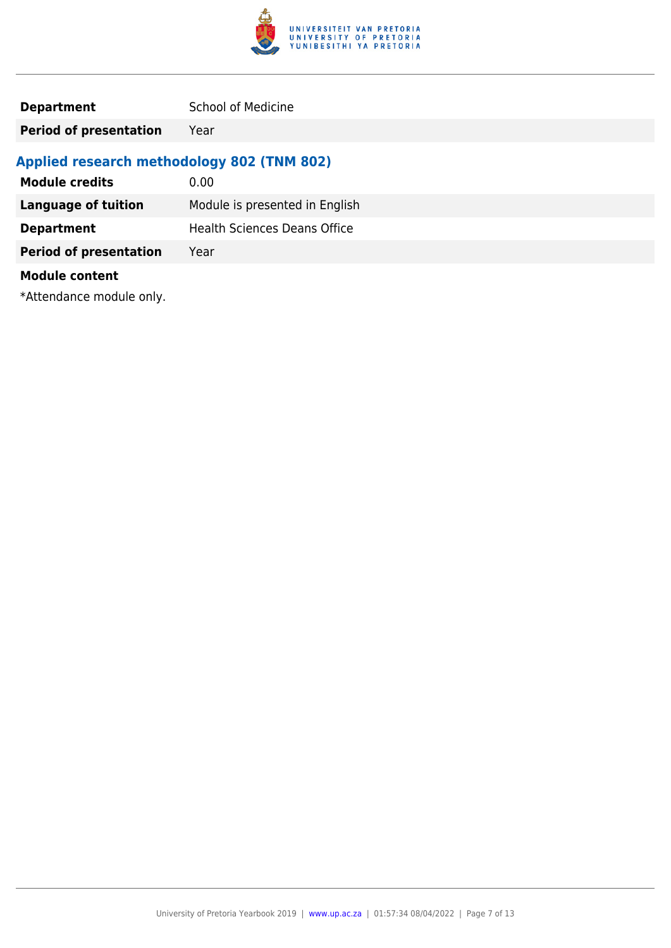

**Period of presentation** Year

## **Applied research methodology 802 (TNM 802)**

| <b>Module credits</b>         | 0.00                                |
|-------------------------------|-------------------------------------|
| <b>Language of tuition</b>    | Module is presented in English      |
| <b>Department</b>             | <b>Health Sciences Deans Office</b> |
| <b>Period of presentation</b> | Year                                |
| <b>Module content</b>         |                                     |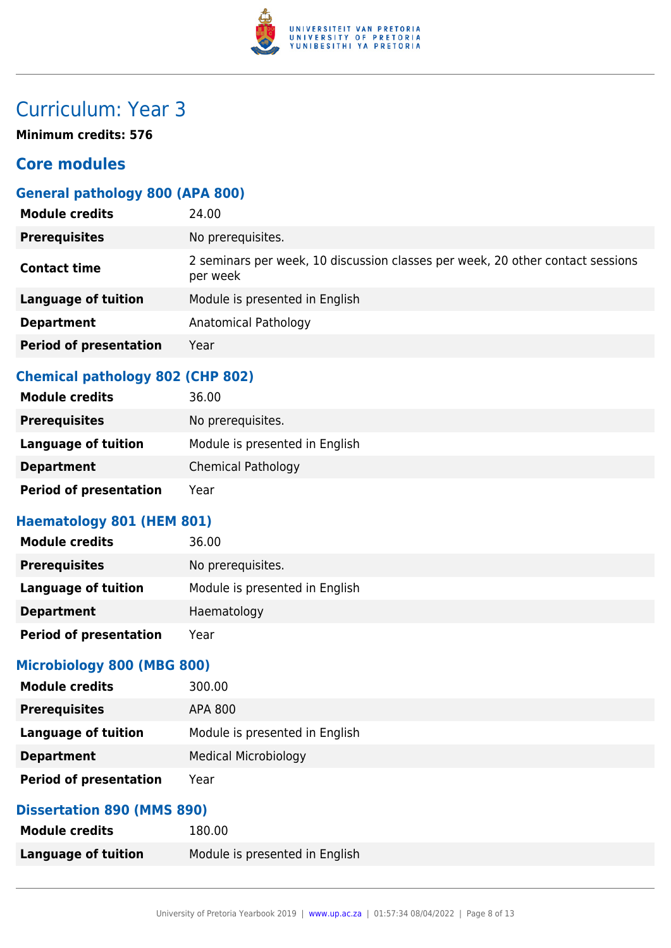

**Minimum credits: 576**

## **Core modules**

## **General pathology 800 (APA 800)**

| <b>Module credits</b>         | 24.00                                                                                      |
|-------------------------------|--------------------------------------------------------------------------------------------|
| <b>Prerequisites</b>          | No prerequisites.                                                                          |
| <b>Contact time</b>           | 2 seminars per week, 10 discussion classes per week, 20 other contact sessions<br>per week |
| <b>Language of tuition</b>    | Module is presented in English                                                             |
| <b>Department</b>             | Anatomical Pathology                                                                       |
| <b>Period of presentation</b> | Year                                                                                       |

## **Chemical pathology 802 (CHP 802)**

| 36.00                          |
|--------------------------------|
| No prerequisites.              |
| Module is presented in English |
| <b>Chemical Pathology</b>      |
| Year                           |
|                                |

## **Haematology 801 (HEM 801)**

| <b>Module credits</b>         | 36.00                          |
|-------------------------------|--------------------------------|
| <b>Prerequisites</b>          | No prerequisites.              |
| Language of tuition           | Module is presented in English |
| <b>Department</b>             | Haematology                    |
| <b>Period of presentation</b> | Year                           |

### **Microbiology 800 (MBG 800)**

| <b>Module credits</b>         | 300.00                         |
|-------------------------------|--------------------------------|
| <b>Prerequisites</b>          | APA 800                        |
| Language of tuition           | Module is presented in English |
| <b>Department</b>             | <b>Medical Microbiology</b>    |
| <b>Period of presentation</b> | Year                           |

## **Dissertation 890 (MMS 890)**

| <b>Module credits</b> | 180.00                         |
|-----------------------|--------------------------------|
| Language of tuition   | Module is presented in English |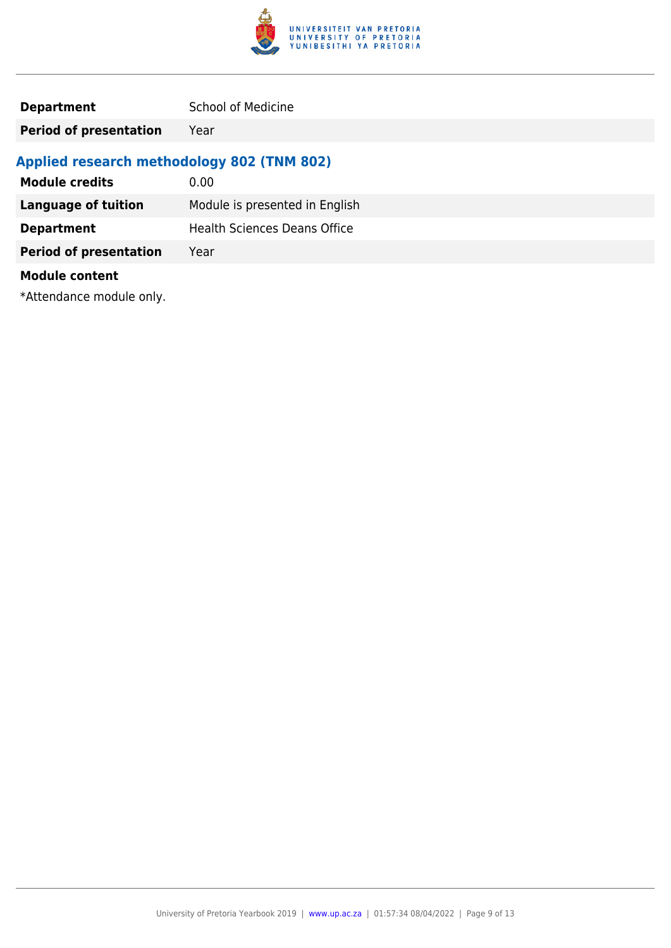

**Period of presentation** Year

## **Applied research methodology 802 (TNM 802)**

| <b>Module credits</b>         | 0.00                                |
|-------------------------------|-------------------------------------|
| <b>Language of tuition</b>    | Module is presented in English      |
| <b>Department</b>             | <b>Health Sciences Deans Office</b> |
| <b>Period of presentation</b> | Year                                |
| <b>Module content</b>         |                                     |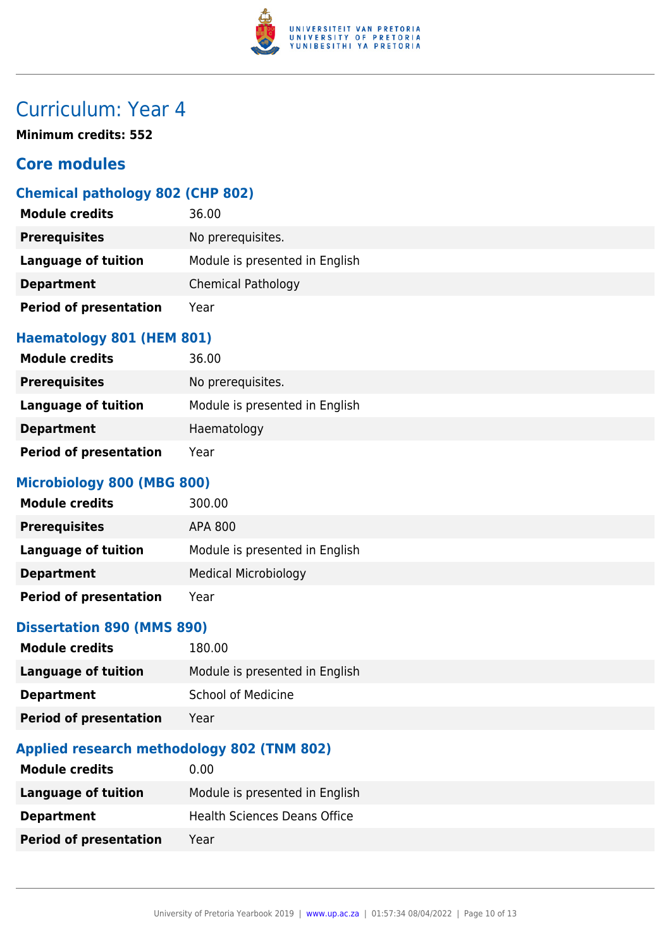

**Minimum credits: 552**

## **Core modules**

## **Chemical pathology 802 (CHP 802)**

| <b>Module credits</b>         | 36.00                          |
|-------------------------------|--------------------------------|
| <b>Prerequisites</b>          | No prerequisites.              |
| <b>Language of tuition</b>    | Module is presented in English |
| <b>Department</b>             | <b>Chemical Pathology</b>      |
| <b>Period of presentation</b> | Year                           |

#### **Haematology 801 (HEM 801)**

| <b>Module credits</b>         | 36.00                          |
|-------------------------------|--------------------------------|
| <b>Prerequisites</b>          | No prerequisites.              |
| Language of tuition           | Module is presented in English |
| <b>Department</b>             | Haematology                    |
| <b>Period of presentation</b> | Year                           |

### **Microbiology 800 (MBG 800)**

| <b>Module credits</b>         | 300.00                         |
|-------------------------------|--------------------------------|
| <b>Prerequisites</b>          | APA 800                        |
| <b>Language of tuition</b>    | Module is presented in English |
| <b>Department</b>             | <b>Medical Microbiology</b>    |
| <b>Period of presentation</b> | Year                           |

### **Dissertation 890 (MMS 890)**

| <b>Module credits</b>         | 180.00                         |
|-------------------------------|--------------------------------|
| Language of tuition           | Module is presented in English |
| <b>Department</b>             | <b>School of Medicine</b>      |
| <b>Period of presentation</b> | Year                           |

## **Applied research methodology 802 (TNM 802)**

| <b>Module credits</b>         | 0.00                                |
|-------------------------------|-------------------------------------|
| Language of tuition           | Module is presented in English      |
| <b>Department</b>             | <b>Health Sciences Deans Office</b> |
| <b>Period of presentation</b> | Year                                |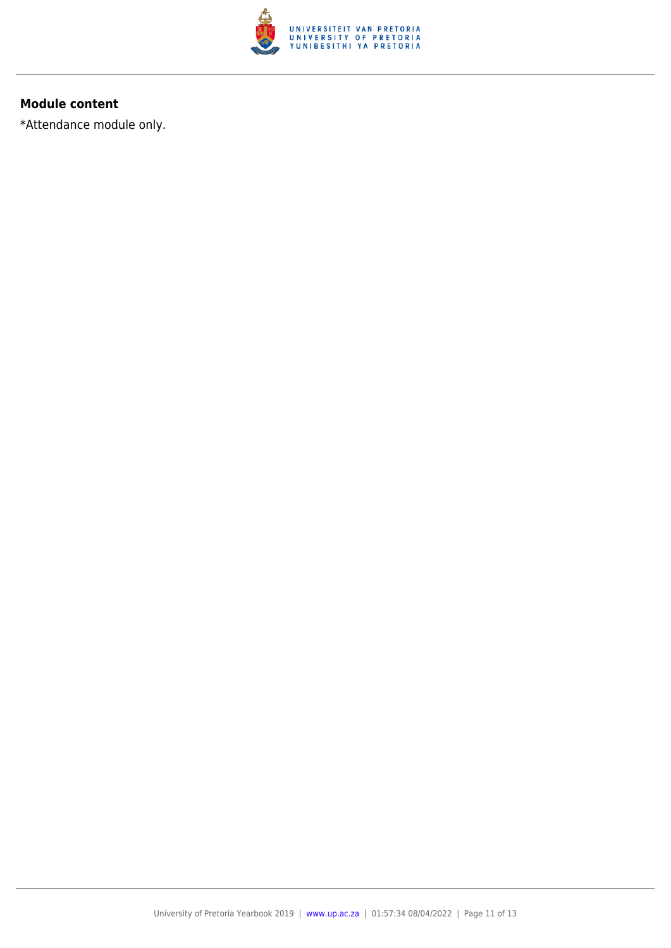

#### **Module content**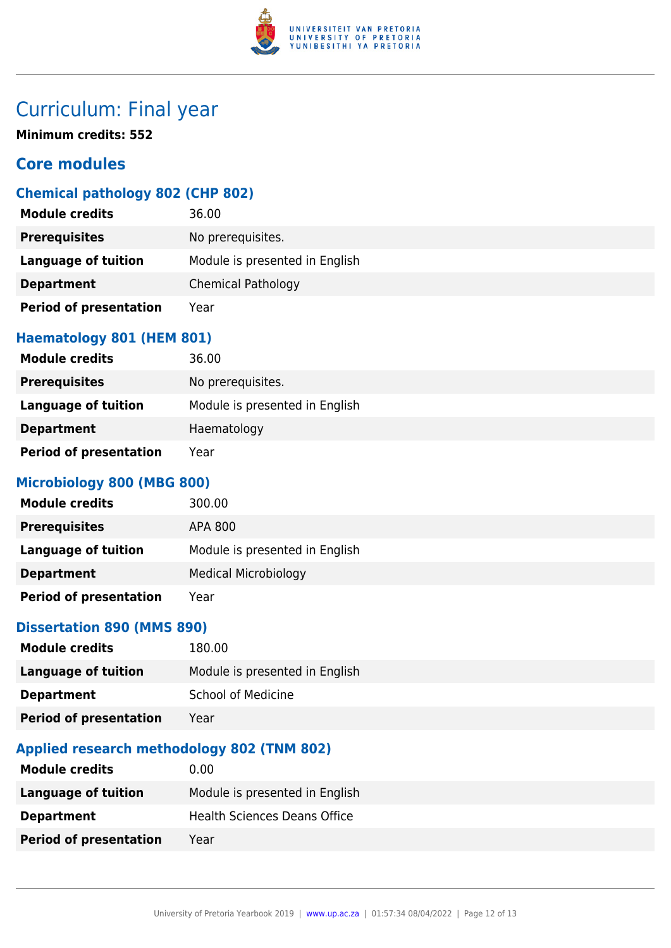

## Curriculum: Final year

**Minimum credits: 552**

## **Core modules**

## **Chemical pathology 802 (CHP 802)**

| <b>Module credits</b>         | 36.00                          |
|-------------------------------|--------------------------------|
| <b>Prerequisites</b>          | No prerequisites.              |
| <b>Language of tuition</b>    | Module is presented in English |
| <b>Department</b>             | <b>Chemical Pathology</b>      |
| <b>Period of presentation</b> | Year                           |

### **Haematology 801 (HEM 801)**

| <b>Module credits</b>         | 36.00                          |
|-------------------------------|--------------------------------|
| <b>Prerequisites</b>          | No prerequisites.              |
| Language of tuition           | Module is presented in English |
| <b>Department</b>             | Haematology                    |
| <b>Period of presentation</b> | Year                           |

### **Microbiology 800 (MBG 800)**

| <b>Module credits</b>         | 300.00                         |
|-------------------------------|--------------------------------|
| <b>Prerequisites</b>          | APA 800                        |
| <b>Language of tuition</b>    | Module is presented in English |
| <b>Department</b>             | <b>Medical Microbiology</b>    |
| <b>Period of presentation</b> | Year                           |

## **Dissertation 890 (MMS 890)**

| <b>Module credits</b>         | 180.00                         |
|-------------------------------|--------------------------------|
| Language of tuition           | Module is presented in English |
| <b>Department</b>             | <b>School of Medicine</b>      |
| <b>Period of presentation</b> | Year                           |

## **Applied research methodology 802 (TNM 802)**

| <b>Module credits</b>         | 0.00                                |
|-------------------------------|-------------------------------------|
| Language of tuition           | Module is presented in English      |
| <b>Department</b>             | <b>Health Sciences Deans Office</b> |
| <b>Period of presentation</b> | Year                                |